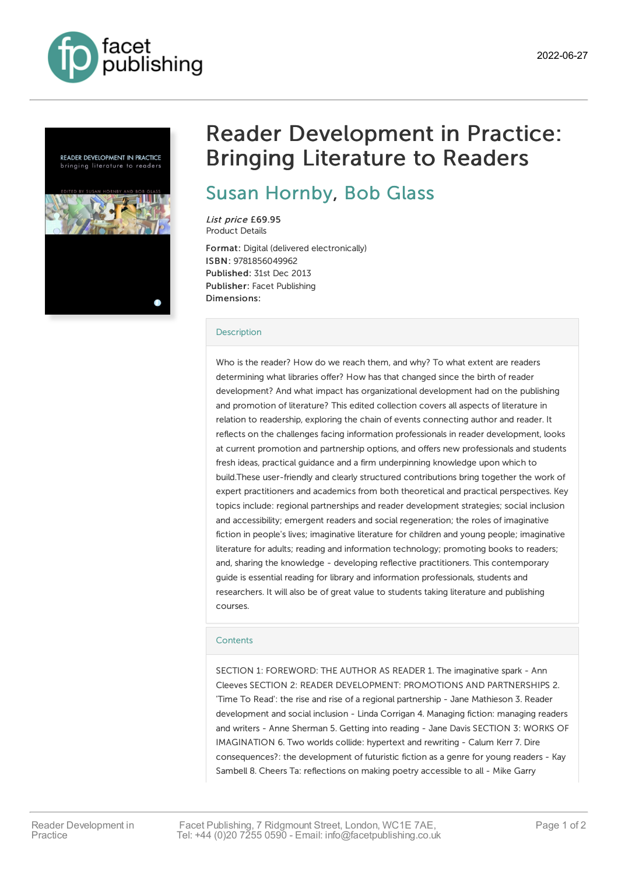





# Reader Development in Practice: Bringing Literature to Readers

## Susan [Hornby](https://www.facetpublishing.co.uk/page/author-detail/?SF1=contributor&ST1=Susan%20Hornby), Bob [Glass](https://www.facetpublishing.co.uk/page/author-detail/?SF1=contributor&ST1=Bob%20Glass)

List price £69.95 Product Details

Format: Digital (delivered electronically) ISBN: 9781856049962 Published: 31st Dec 2013 Publisher: Facet Publishing Dimensions:

#### **[Description](javascript:void(0);)**

Who is the reader? How do we reach them, and why? To what extent are readers determining what libraries offer? How has that changed since the birth of reader development? And what impact has organizational development had on the publishing and promotion of literature? This edited collection covers all aspects of literature in relation to readership, exploring the chain of events connecting author and reader. It reflects on the challenges facing information professionals in reader development, looks at current promotion and partnership options, and offers new professionals and students fresh ideas, practical guidance and a firm underpinning knowledge upon which to build.These user-friendly and clearly structured contributions bring together the work of expert practitioners and academics from both theoretical and practical perspectives. Key topics include: regional partnerships and reader development strategies; social inclusion and accessibility; emergent readers and social regeneration; the roles of imaginative fiction in people's lives; imaginative literature for children and young people; imaginative literature for adults; reading and information technology; promoting books to readers; and, sharing the knowledge - developing reflective practitioners. This contemporary guide is essential reading for library and information professionals, students and researchers. It will also be of great value to students taking literature and publishing courses.

#### **[Contents](javascript:void(0);)**

SECTION 1: FOREWORD: THE AUTHOR AS READER 1. The imaginative spark - Ann Cleeves SECTION 2: READER DEVELOPMENT: PROMOTIONS AND PARTNERSHIPS 2. 'Time To Read': the rise and rise of a regional partnership - Jane Mathieson 3. Reader development and social inclusion - Linda Corrigan 4. Managing fiction: managing readers and writers - Anne Sherman 5. Getting into reading - Jane Davis SECTION 3: WORKS OF IMAGINATION 6. Two worlds collide: hypertext and rewriting - Calum Kerr 7. Dire consequences?: the development of futuristic fiction as a genre for young readers - Kay Sambell 8. Cheers Ta: reflections on making poetry accessible to all - Mike Garry